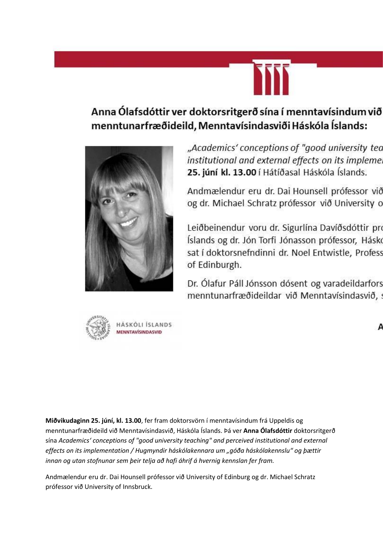

## Anna Ólafsdóttir ver doktorsritgerð sína í menntavísindum við menntunarfræðideild, Menntavísindasviði Háskóla Íslands:



"Academics' conceptions of "good university tea institutional and external effects on its impleme. 25. júní kl. 13.00 í Hátíðasal Háskóla Íslands.

Andmælendur eru dr. Dai Hounsell prófessor við og dr. Michael Schratz prófessor við University o

Leiðbeinendur voru dr. Sigurlína Davíðsdóttir pro Íslands og dr. Jón Torfi Jónasson prófessor, Hásko sat í doktorsnefndinni dr. Noel Entwistle, Profess of Edinburgh.

Dr. Ólafur Páll Jónsson dósent og varadeildarfors menntunarfræðideildar við Menntavísindasvið,



**Miðvikudaginn 25. júní, kl. 13.00**, fer fram doktorsvörn í menntavísindum frá Uppeldis og menntunarfræðideild við Menntavísindasvið, Háskóla Íslands. Þá ver **Anna Ólafsdóttir** doktorsritgerð sína *Academics' conceptions of "good university teaching" and perceived institutional and external effects on its implementation / Hugmyndir háskólakennara um "góða háskólakennslu" og þættir innan og utan stofnunar sem þeir telja að hafi áhrif á hvernig kennslan fer fram.* 

Andmælendur eru dr. Dai Hounsell prófessor við University of Edinburg og dr. Michael Schratz prófessor við University of Innsbruck.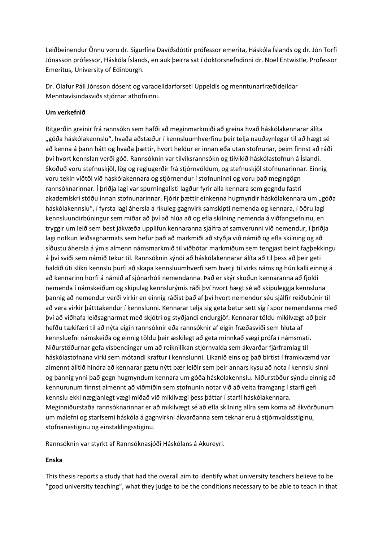Leiðbeinendur Önnu voru dr. Sigurlína Davíðsdóttir prófessor emerita, Háskóla Íslands og dr. Jón Torfi Jónasson prófessor, Háskóla Íslands, en auk þeirra sat í doktorsnefndinni dr. Noel Entwistle, Professor Emeritus, University of Edinburgh.

Dr. Ólafur Páll Jónsson dósent og varadeildarforseti Uppeldis og menntunarfræðideildar Menntavísindasviðs stjórnar athöfninni.

## **Um verkefnið**

Ritgerðin greinir frá rannsókn sem hafði að meginmarkmiði að greina hvað háskólakennarar álíta "góða háskólakennslu", hvaða aðstæður í kennsluumhverfinu þeir telja nauðsynlegar til að hægt sé að kenna á þann hátt og hvaða þættir, hvort heldur er innan eða utan stofnunar, þeim finnst að ráði því hvort kennslan verði góð. Rannsóknin var tilviksrannsókn og tilvikið háskólastofnun á Íslandi. Skoðuð voru stefnuskjöl, lög og reglugerðir frá stjórnvöldum, og stefnuskjöl stofnunarinnar. Einnig voru tekin viðtöl við háskólakennara og stjórnendur í stofnuninni og voru það megingögn rannsóknarinnar. Í þriðja lagi var spurningalisti lagður fyrir alla kennara sem gegndu fastri akademískri stöðu innan stofnunarinnar. Fjórir þættir einkenna hugmyndir háskólakennara um "góða háskólakennslu", í fyrsta lagi áhersla á ríkuleg gagnvirk samskipti nemenda og kennara, í öðru lagi kennsluundirbúningur sem miðar að því að hlúa að og efla skilning nemenda á viðfangsefninu, en tryggir um leið sem best jákvæða upplifun kennaranna sjálfra af samverunni við nemendur, í þriðja lagi notkun leiðsagnarmats sem hefur það að markmiði að styðja við námið og efla skilning og að síðustu áhersla á ýmis almenn námsmarkmið til viðbótar markmiðum sem tengjast beint fagþekkingu á því sviði sem námið tekur til. Rannsóknin sýndi að háskólakennarar álíta að til þess að þeir geti haldið úti slíkri kennslu þurfi að skapa kennsluumhverfi sem hvetji til virks náms og hún kalli einnig á að kennarinn horfi á námið af sjónarhóli nemendanna. Það er skýr skoðun kennaranna að fjöldi nemenda í námskeiðum og skipulag kennslurýmis ráði því hvort hægt sé að skipuleggja kennsluna þannig að nemendur verði virkir en einnig ráðist það af því hvort nemendur séu sjálfir reiðubúnir til að vera virkir þátttakendur í kennslunni. Kennarar telja sig geta betur sett sig í spor nemendanna með því að viðhafa leiðsagnarmat með skjótri og styðjandi endurgjöf. Kennarar töldu mikilvægt að þeir hefðu tækifæri til að nýta eigin rannsóknir eða rannsóknir af eigin fræðasviði sem hluta af kennsluefni námskeiða og einnig töldu þeir æskilegt að geta minnkað vægi prófa í námsmati. Niðurstöðurnar gefa vísbendingar um að reiknilíkan stjórnvalda sem ákvarðar fjárframlag til háskólastofnana virki sem mótandi kraftur í kennslunni. Líkanið eins og það birtist í framkvæmd var almennt álitið hindra að kennarar gætu nýtt þær leiðir sem þeir annars kysu að nota í kennslu sinni og þannig ynni það gegn hugmyndum kennara um góða háskólakennslu. Niðurstöður sýndu einnig að kennurunum finnst almennt að viðmiðin sem stofnunin notar við að veita framgang í starfi gefi kennslu ekki nægjanlegt vægi miðað við mikilvægi þess þáttar í starfi háskólakennara. Meginniðurstaða rannsóknarinnar er að mikilvægt sé að efla skilning allra sem koma að ákvörðunum um málefni og starfsemi háskóla á gagnvirkni ákvarðanna sem teknar eru á stjórnvaldsstiginu, stofnanastiginu og einstaklingsstiginu.

Rannsóknin var styrkt af Rannsóknasjóði Háskólans á Akureyri.

## **Enska**

This thesis reports a study that had the overall aim to identify what university teachers believe to be "good university teaching", what they judge to be the conditions necessary to be able to teach in that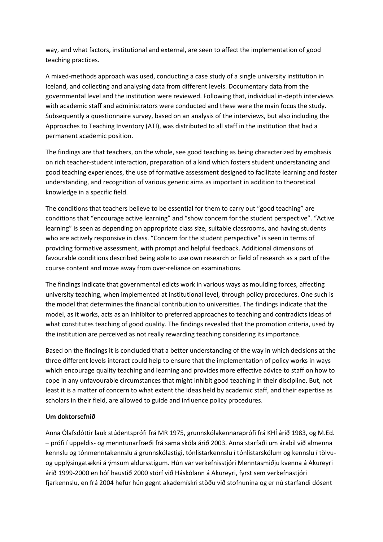way, and what factors, institutional and external, are seen to affect the implementation of good teaching practices.

A mixed-methods approach was used, conducting a case study of a single university institution in Iceland, and collecting and analysing data from different levels. Documentary data from the governmental level and the institution were reviewed. Following that, individual in-depth interviews with academic staff and administrators were conducted and these were the main focus the study. Subsequently a questionnaire survey, based on an analysis of the interviews, but also including the Approaches to Teaching Inventory (ATI), was distributed to all staff in the institution that had a permanent academic position.

The findings are that teachers, on the whole, see good teaching as being characterized by emphasis on rich teacher-student interaction, preparation of a kind which fosters student understanding and good teaching experiences, the use of formative assessment designed to facilitate learning and foster understanding, and recognition of various generic aims as important in addition to theoretical knowledge in a specific field.

The conditions that teachers believe to be essential for them to carry out "good teaching" are conditions that "encourage active learning" and "show concern for the student perspective". "Active learning" is seen as depending on appropriate class size, suitable classrooms, and having students who are actively responsive in class. "Concern for the student perspective" is seen in terms of providing formative assessment, with prompt and helpful feedback. Additional dimensions of favourable conditions described being able to use own research or field of research as a part of the course content and move away from over-reliance on examinations.

The findings indicate that governmental edicts work in various ways as moulding forces, affecting university teaching, when implemented at institutional level, through policy procedures. One such is the model that determines the financial contribution to universities. The findings indicate that the model, as it works, acts as an inhibitor to preferred approaches to teaching and contradicts ideas of what constitutes teaching of good quality. The findings revealed that the promotion criteria, used by the institution are perceived as not really rewarding teaching considering its importance.

Based on the findings it is concluded that a better understanding of the way in which decisions at the three different levels interact could help to ensure that the implementation of policy works in ways which encourage quality teaching and learning and provides more effective advice to staff on how to cope in any unfavourable circumstances that might inhibit good teaching in their discipline. But, not least it is a matter of concern to what extent the ideas held by academic staff, and their expertise as scholars in their field, are allowed to guide and influence policy procedures.

## **Um doktorsefnið**

Anna Ólafsdóttir lauk stúdentsprófi frá MR 1975, grunnskólakennaraprófi frá KHÍ árið 1983, og M.Ed. – prófi í uppeldis- og menntunarfræði frá sama skóla árið 2003. Anna starfaði um árabil við almenna kennslu og tónmenntakennslu á grunnskólastigi, tónlistarkennslu í tónlistarskólum og kennslu í tölvuog upplýsingatækni á ýmsum aldursstigum. Hún var verkefnisstjóri Menntasmiðju kvenna á Akureyri árið 1999-2000 en hóf haustið 2000 störf við Háskólann á Akureyri, fyrst sem verkefnastjóri fjarkennslu, en frá 2004 hefur hún gegnt akademískri stöðu við stofnunina og er nú starfandi dósent